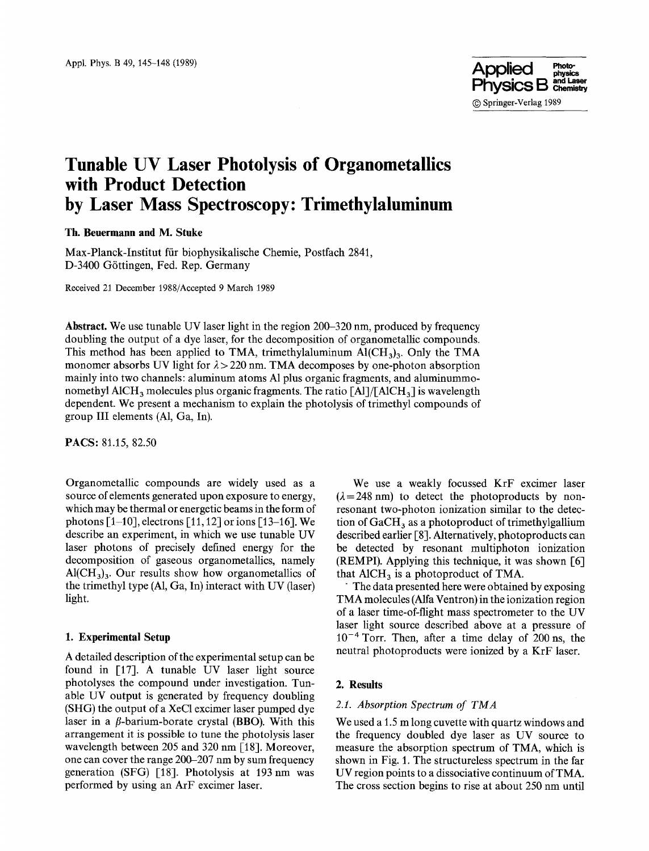

# **Tunable UV Laser Photolysis of Organometallics with Product Detection by Laser Mass Spectroscopy: Trimethylaluminum**

**Th. Beuermann and M. Stuke** 

Max-Planck-Institut ffir biophysikalische Chemic, Postfach 2841, D-3400 G6ttingen, Fed. Rep. Germany

Received 21 December 1988/Accepted 9 March 1989

**Abstract.** We use tunable UV laser light in the region 200-320 nm, produced by frequency doubling the output of a dye laser, for the decomposition of organometallic compounds. This method has been applied to TMA, trimethylaluminum  $\text{Al}(\text{CH}_3)$ . Only the TMA monomer absorbs UV light for  $\lambda > 220$  nm. TMA decomposes by one-photon absorption mainly into two channels: aluminum atoms A1 plus organic fragments, and aluminummonomethyl AlCH<sub>3</sub> molecules plus organic fragments. The ratio [Al]/[AlCH<sub>3</sub>] is wavelength dependent. We present a mechanism to explain the photolysis of trimethyl compounds of group III elements (A1, Ga, In).

**PACS:** 81.15, 82.50

Organometallic compounds are widely used as a source of elements generated upon exposure to energy, which may be thermal or energetic beams in the form of photons  $\lceil 1-10 \rceil$ , electrons  $\lceil 11, 12 \rceil$  or ions  $\lceil 13-16 \rceil$ . We describe an experiment, in which we use tunable UV laser photons of precisely defined energy for the decomposition of gaseous organometallics, namely  $Al(CH<sub>3</sub>)<sub>3</sub>$ . Our results show how organometallics of the trimethyl type (A1, Ga, In) interact with UV (laser) light.

#### **1. Experimental Setup**

A detailed description of the experimental setup can be found in [17]. A tunable UV laser light source photolyses the compound under investigation. Tunable UV output is generated by frequency doubling (SHG) the output of a XeC1 excimer laser pumped dye laser in a  $\beta$ -barium-borate crystal (BBO). With this arrangement it is possible to tune the photolysis laser wavelength between 205 and 320 nm [18]. Moreover, one can cover the range 200-207 nm by sum frequency generation (SFG) [18]. Photolysis at 193nm was performed by using an ArF excimer laser.

We use a weakly focussed KrF excimer laser  $(\lambda = 248 \text{ nm})$  to detect the photoproducts by nonresonant two-photon ionization similar to the detection of  $GaCH<sub>3</sub>$  as a photoproduct of trimethylgallium described earlier [8]. Alternatively, photoproducts can be detected by resonant multiphoton ionization (REMPI). Applying this technique, it was shown [6] that  $AICH<sub>3</sub>$  is a photoproduct of TMA.

The data presented here were obtained by exposing TMA molecules (Alfa Ventron) in the ionization region of a laser time-of-flight mass spectrometer to the UV laser light source described above at a pressure of  $10^{-4}$  Torr. Then, after a time delay of 200 ns, the neutral photoproducts were ionized by a KrF laser.

# **2. Results**

## *2.1. Absorption Spectrum of TMA*

We used a 1.5 m long cuvette with quartz windows and the frequency doubled dye laser as UV source to measure the absorption spectrum of TMA, which is shown in Fig. 1. The structureless spectrum in the far UV region points to a dissociative continuum of TMA. The cross section begins to rise at about 250 nm until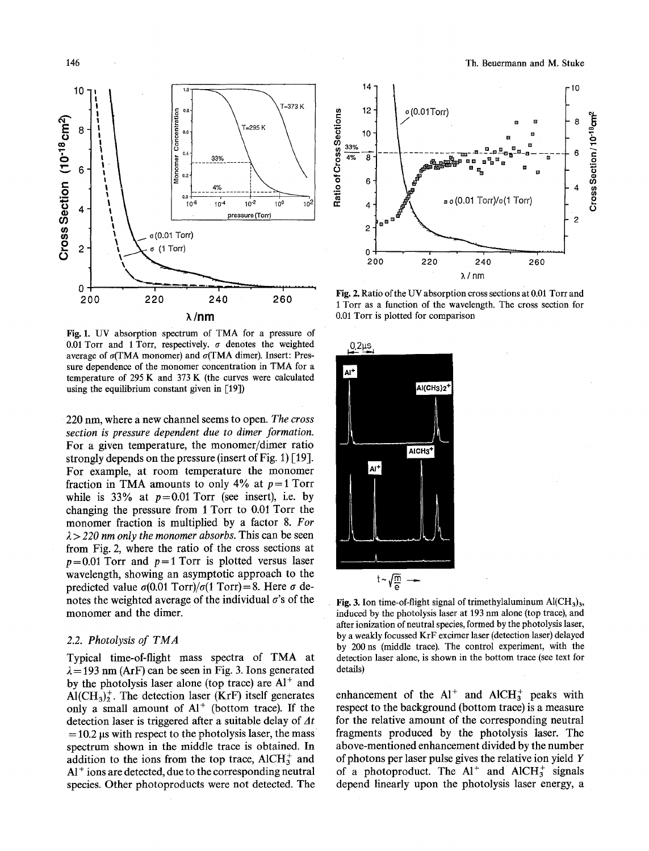

Fig. 1. UV absorption spectrum of TMA for a pressure of 0.01 Torr and 1 Torr, respectively.  $\sigma$  denotes the weighted average of  $\sigma$ (TMA monomer) and  $\sigma$ (TMA dimer). Insert: Pressure dependence of the monomer concentration in TMA for a temperature of 295 K and 373 K (the curves were calculated using the equilibrium constant given in [19])

220 nm, where a new channel seems to open. *The cross section is pressure dependent due to dimer formation.*  For a given temperature, the monomer/dimer ratio strongly depends on the pressure (insert of Fig. 1) [19]. For example, at room temperature the monomer fraction in TMA amounts to only 4% at  $p=1$  Torr while is 33% at  $p=0.01$  Torr (see insert), i.e. by changing the pressure from 1 Torr to 0.01 Torr the monomer fraction is multiplied by a factor 8. *For*   $\lambda$  > 220 nm only the monomer absorbs. This can be seen from Fig. 2, where the ratio of the cross sections at  $p=0.01$  Torr and  $p=1$  Torr is plotted versus laser wavelength, showing an asymptotic approach to the predicted value  $\sigma(0.01 \text{ Torr})/\sigma(1 \text{ Torr})=8$ . Here  $\sigma$  denotes the weighted average of the individual  $\sigma$ 's of the monomer and the dimer.

## *2.2. Photolysis of TMA*

Typical time-of-flight mass spectra of TMA at  $\lambda = 193$  nm (ArF) can be seen in Fig. 3. Ions generated by the photolysis laser alone (top trace) are  $Al^+$  and  $\text{Al}(\text{CH}_3)^+$ . The detection laser (KrF) itself generates only a small amount of  $Al^+$  (bottom trace). If the detection laser is triggered after a suitable delay of  $\Delta t$  $= 10.2$  µs with respect to the photolysis laser, the mass spectrum shown in the middle trace is obtained. In addition to the ions from the top trace, AlCH $_3^+$  and  $Al<sup>+</sup>$  ions are detected, due to the corresponding neutral species. Other photoproducts were not detected. The



Fig. 2. Ratio of the UV absorption cross sections at 0.01 Torr and 1 Torr as a function of the wavelength. The cross section for 0.01 Torr is plotted for comparison



Fig. 3. Ion time-of-flight signal of trimethylaluminum  $Al(CH_3)_3$ , induced by the photolysis laser at 193 nm alone (top trace), and after ionization of neutral species, formed by the photolysis laser, by a weakly focussed KrF excimer laser (detection laser) delayed by 200 ns (middle trace). The control experiment, with the detection laser alone, is shown in the bottom trace (see text for details)

enhancement of the  $Al^+$  and  $AlCH_3^+$  peaks with respect to the background (bottom trace) is a measure for the relative amount of the corresponding neutral fragments produced by the photolysis laser. The above-mentioned enhancement divided by the number of photons per laser pulse gives the relative ion yield Y of a photoproduct. The  $Al^+$  and  $AlCH_3^+$  signals depend linearly upon the photolysis laser energy, a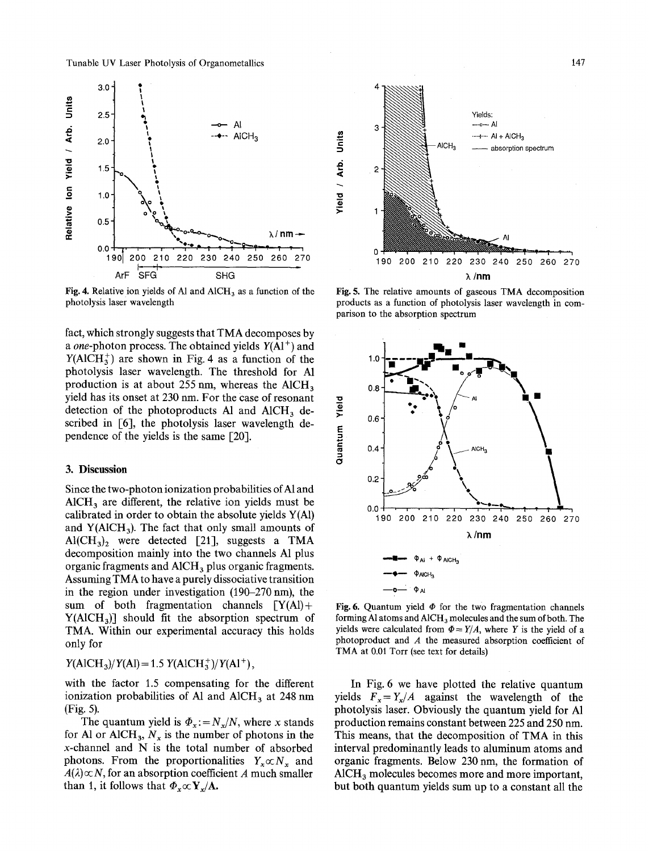Tunable UV Laser Photolysis of Organometallics 147



Fig. 4. Relative ion yields of A1 and  $AICH<sub>3</sub>$  as a function of the photolysis laser wavelength

fact, which strongly suggests that TMA decomposes by *a one-photon process.* The obtained yields  $Y(A1<sup>+</sup>)$  and  $Y(AICH<sub>3</sub><sup>+</sup>)$  are shown in Fig. 4 as a function of the photolysis laser wavelength. The threshold for A1 production is at about  $255$  nm, whereas the AlCH<sub>3</sub> yield has its onset at 230 nm. For the Case of resonant detection of the photoproducts Al and  $AICH_3$  described in [6], the photolysis laser wavelength dependence of the yields is the same [20].

## **3. Discussion**

Since the two-photon ionization probabilities of A1 and  $AICH<sub>3</sub>$  are different, the relative ion yields must be calibrated in order to obtain the absolute yields  $Y(A)$ and  $Y(AICH<sub>3</sub>)$ . The fact that only small amounts of  $Al(CH<sub>3</sub>)<sub>2</sub>$  were detected [21], suggests a TMA decomposition mainly into the two channels A1 plus organic fragments and  $AICH<sub>3</sub>$  plus organic fragments. Assuming TMA to have a purely dissociative transition in the region under investigation (190-270 nm), the sum of both fragmentation channels  $[Y(A)] +$  $Y(AICH<sub>3</sub>)$ ] should fit the absorption spectrum of TMA. Within our experimental accuracy this holds only for

 $Y(AICH<sub>3</sub>)/Y(Al) = 1.5 Y(AICH<sub>3</sub><sup>+</sup>)/Y(Al<sup>+</sup>),$ 

with the factor 1.5 compensating for the different ionization probabilities of A1 and AlCH<sub>3</sub> at 248 nm (Fig. 5).

The quantum yield is  $\Phi_x := N_x/N$ , where x stands for Al or AlCH<sub>3</sub>,  $N_x$  is the number of photons in the x-channel and N is the total number of absorbed photons. From the proportionalities  $Y_x \propto N_x$  and  $A(\lambda) \propto N$ , for an absorption coefficient A much smaller than 1, it follows that  $\Phi_x \propto Y_x/A$ .



Fig. 5. The relative amounts of gaseous TMA decomposition products as a function of photolysis laser wavelength in comparison to the absorption spectrum



Fig. 6. Quantum yield  $\Phi$  for the two fragmentation channels forming Al atoms and  $AICH_3$  molecules and the sum of both. The yields were calculated from  $\Phi = Y/A$ , where Y is the yield of a photoproduct and A the measured absorption coefficient of TMA at 0.01 Torr (see text for details)

In Fig. 6 we have plotted the relative quantum yields  $F_x = Y_x/A$  against the wavelength of the photolysis laser. Obviously the quantum yield for A1 production remains constant between 225 and 250 nm. This means, that the decomposition of TMA in this interval predominantly leads to aluminum atoms and organic fragments. Below 230 nm, the formation of AlCH<sub>3</sub> molecules becomes more and more important, but both quantum yields sum up to a constant all the